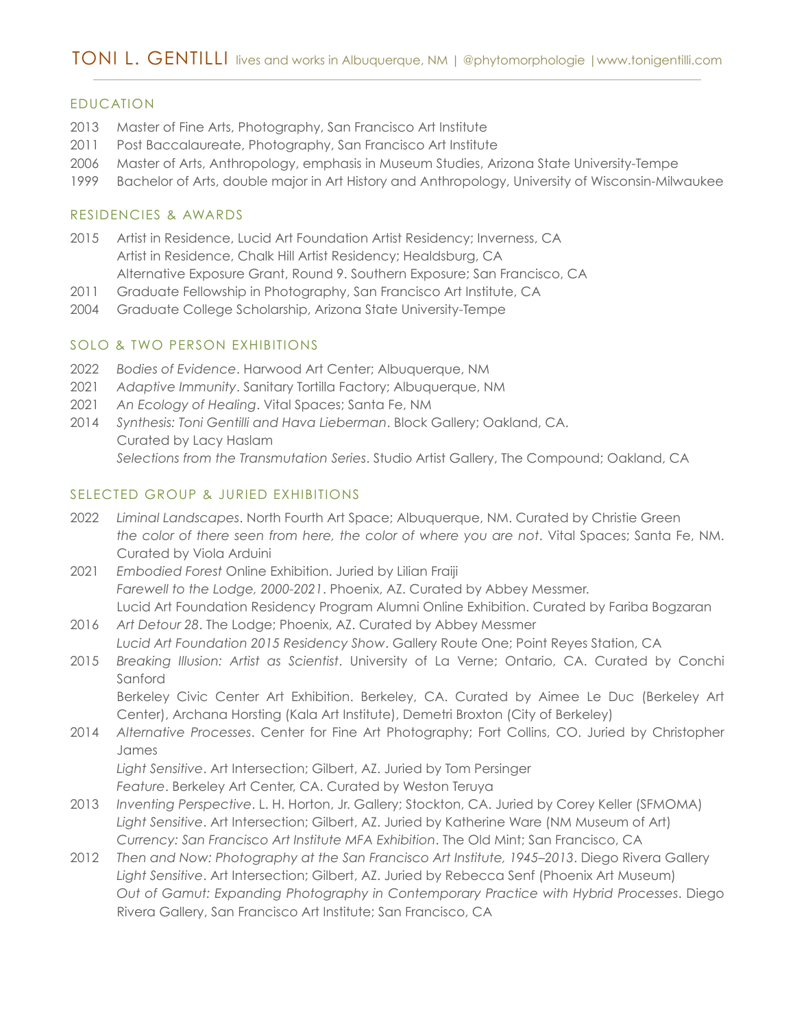## EDUCATION

- 2013 Master of Fine Arts, Photography, San Francisco Art Institute
- 2011 Post Baccalaureate, Photography, San Francisco Art Institute
- 2006 Master of Arts, Anthropology, emphasis in Museum Studies, Arizona State University-Tempe
- 1999 Bachelor of Arts, double major in Art History and Anthropology, University of Wisconsin-Milwaukee

#### RESIDENCIES & AWARDS

- 2015 Artist in Residence, Lucid Art Foundation Artist Residency; Inverness, CA Artist in Residence, Chalk Hill Artist Residency; Healdsburg, CA Alternative Exposure Grant, Round 9. Southern Exposure; San Francisco, CA
- 2011 Graduate Fellowship in Photography, San Francisco Art Institute, CA
- 2004 Graduate College Scholarship, Arizona State University-Tempe

#### SOLO & TWO PERSON EXHIBITIONS

- 2022 *Bodies of Evidence*. Harwood Art Center; Albuquerque, NM
- 2021 *Adaptive Immunity*. Sanitary Tortilla Factory; Albuquerque, NM
- 2021 *An Ecology of Healing*. Vital Spaces; Santa Fe, NM
- 2014 *Synthesis: Toni Gentilli and Hava Lieberman*. Block Gallery; Oakland, CA. Curated by Lacy Haslam *Selections from the Transmutation Series*. Studio Artist Gallery, The Compound; Oakland, CA

#### SELECTED GROUP & JURIED EXHIBITIONS

- 2022 *Liminal Landscapes*. North Fourth Art Space; Albuquerque, NM. Curated by Christie Green *the color of there seen from here, the color of where you are not*. Vital Spaces; Santa Fe, NM. Curated by Viola Arduini
- 2021 *Embodied Forest* Online Exhibition. Juried by Lilian Fraiji *Farewell to the Lodge, 2000-2021*. Phoenix, AZ. Curated by Abbey Messmer. Lucid Art Foundation Residency Program Alumni Online Exhibition. Curated by Fariba Bogzaran
- 2016 *Art Detour 28*. The Lodge; Phoenix, AZ. Curated by Abbey Messmer *Lucid Art Foundation 2015 Residency Show*. Gallery Route One; Point Reyes Station, CA
- 2015 *Breaking Illusion: Artist as Scientist*. University of La Verne; Ontario, CA. Curated by Conchi Sanford

Berkeley Civic Center Art Exhibition. Berkeley, CA. Curated by Aimee Le Duc (Berkeley Art Center), Archana Horsting (Kala Art Institute), Demetri Broxton (City of Berkeley)

2014 *Alternative Processes*. Center for Fine Art Photography; Fort Collins, CO. Juried by Christopher James *Light Sensitive*. Art Intersection; Gilbert, AZ. Juried by Tom Persinger

*Feature*. Berkeley Art Center, CA. Curated by Weston Teruya

- 2013 *Inventing Perspective*. L. H. Horton, Jr. Gallery; Stockton, CA. Juried by Corey Keller (SFMOMA) *Light Sensitive*. Art Intersection; Gilbert, AZ. Juried by Katherine Ware (NM Museum of Art) *Currency: San Francisco Art Institute MFA Exhibition*. The Old Mint; San Francisco, CA
- 2012 *Then and Now: Photography at the San Francisco Art Institute, 1945–2013*. Diego Rivera Gallery *Light Sensitive*. Art Intersection; Gilbert, AZ. Juried by Rebecca Senf (Phoenix Art Museum) *Out of Gamut: Expanding Photography in Contemporary Practice with Hybrid Processes*. Diego Rivera Gallery, San Francisco Art Institute; San Francisco, CA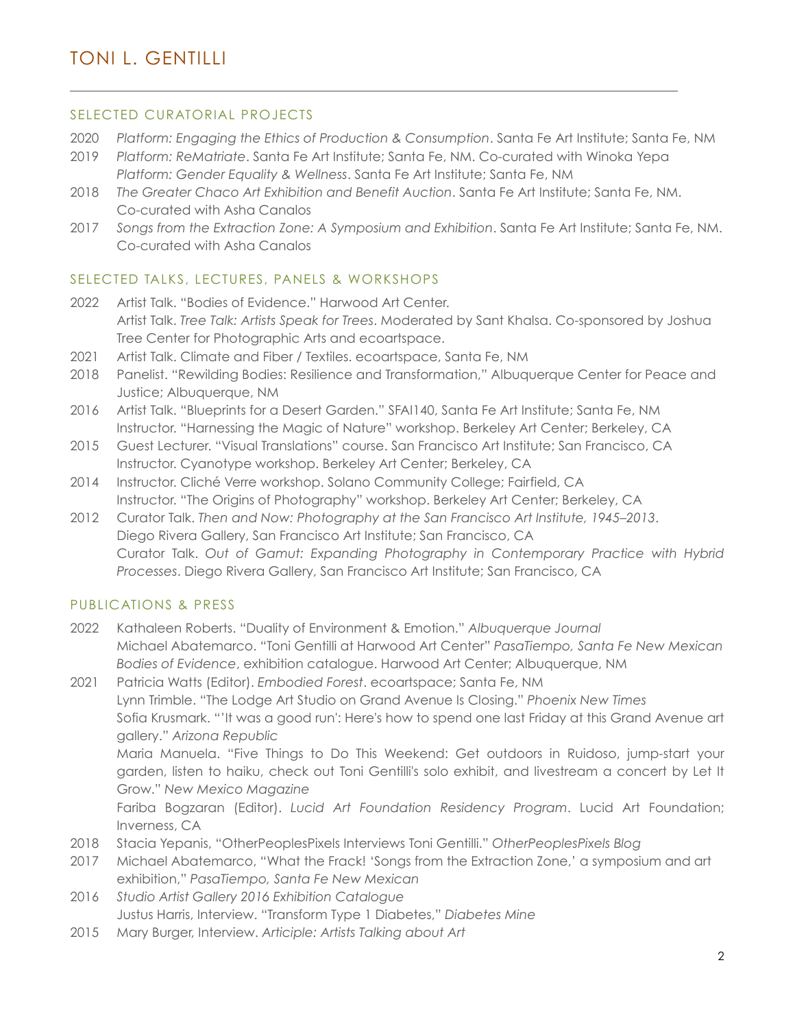## SELECTED CURATORIAL PROJECTS

- 2020 *Platform: Engaging the Ethics of Production & Consumption*. Santa Fe Art Institute; Santa Fe, NM
- 2019 *Platform: ReMatriate*. Santa Fe Art Institute; Santa Fe, NM. Co-curated with Winoka Yepa *Platform: Gender Equality & Wellness*. Santa Fe Art Institute; Santa Fe, NM
- 2018 *The Greater Chaco Art Exhibition and Benefit Auction*. Santa Fe Art Institute; Santa Fe, NM. Co-curated with Asha Canalos
- 2017 *Songs from the Extraction Zone: A Symposium and Exhibition*. Santa Fe Art Institute; Santa Fe, NM. Co-curated with Asha Canalos

## SELECTED TALKS, LECTURES, PANELS & WORKSHOPS

- 2022 Artist Talk. "Bodies of Evidence." Harwood Art Center. Artist Talk. *Tree Talk: Artists Speak for Trees*. Moderated by Sant Khalsa. Co-sponsored by Joshua Tree Center for Photographic Arts and ecoartspace.
- 2021 Artist Talk. Climate and Fiber / Textiles. ecoartspace, Santa Fe, NM
- 2018 Panelist. "Rewilding Bodies: Resilience and Transformation," Albuquerque Center for Peace and Justice; Albuquerque, NM
- 2016 Artist Talk. "Blueprints for a Desert Garden." SFAI140, Santa Fe Art Institute; Santa Fe, NM Instructor. "Harnessing the Magic of Nature" workshop. Berkeley Art Center; Berkeley, CA
- 2015 Guest Lecturer. "Visual Translations" course. San Francisco Art Institute; San Francisco, CA Instructor. Cyanotype workshop. Berkeley Art Center; Berkeley, CA
- 2014 Instructor. Cliché Verre workshop. Solano Community College; Fairfield, CA Instructor. "The Origins of Photography" workshop. Berkeley Art Center; Berkeley, CA
- 2012 Curator Talk. *Then and Now: Photography at the San Francisco Art Institute, 1945–2013*. Diego Rivera Gallery, San Francisco Art Institute; San Francisco, CA Curator Talk. *Out of Gamut: Expanding Photography in Contemporary Practice with Hybrid Processes*. Diego Rivera Gallery, San Francisco Art Institute; San Francisco, CA

## PUBLICATIONS & PRESS

2022 Kathaleen Roberts. "Duality of Environment & Emotion." *Albuquerque Journal* Michael Abatemarco. "Toni Gentilli at Harwood Art Center" *PasaTiempo, Santa Fe New Mexican Bodies of Evidence*, exhibition catalogue. Harwood Art Center; Albuquerque, NM

2021 Patricia Watts (Editor). *Embodied Forest*. ecoartspace; Santa Fe, NM Lynn Trimble. "The Lodge Art Studio on Grand Avenue Is Closing." *Phoenix New Times* Sofia Krusmark. "'It was a good run': Here's how to spend one last Friday at this Grand Avenue art gallery." *Arizona Republic* Maria Manuela. "Five Things to Do This Weekend: Get outdoors in Ruidoso, jump-start your garden, listen to haiku, check out Toni Gentilli's solo exhibit, and livestream a concert by Let It Grow." *New Mexico Magazine* Fariba Bogzaran (Editor). *Lucid Art Foundation Residency Program*. Lucid Art Foundation; Inverness, CA

- 2018 Stacia Yepanis, "OtherPeoplesPixels Interviews Toni Gentilli." *OtherPeoplesPixels Blog*
- 2017 Michael Abatemarco, "What the Frack! 'Songs from the Extraction Zone,' a symposium and art exhibition," *PasaTiempo, Santa Fe New Mexican*
- 2016 *Studio Artist Gallery 2016 Exhibition Catalogue* Justus Harris, Interview. "Transform Type 1 Diabetes," *Diabetes Mine*
- 2015 Mary Burger, Interview. *Articiple: Artists Talking about Art*